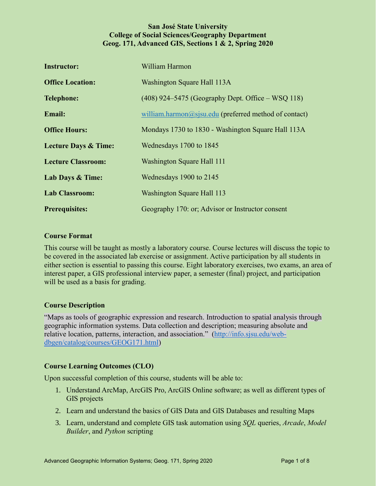## **San José State University College of Social Sciences/Geography Department Geog. 171, Advanced GIS, Sections 1 & 2, Spring 2020**

| <b>Instructor:</b>              | William Harmon                                        |
|---------------------------------|-------------------------------------------------------|
| <b>Office Location:</b>         | Washington Square Hall 113A                           |
| <b>Telephone:</b>               | $(408)$ 924–5475 (Geography Dept. Office – WSQ 118)   |
| <b>Email:</b>                   | william.harmon@sjsu.edu (preferred method of contact) |
| <b>Office Hours:</b>            | Mondays 1730 to 1830 - Washington Square Hall 113A    |
| <b>Lecture Days &amp; Time:</b> | Wednesdays 1700 to 1845                               |
| <b>Lecture Classroom:</b>       | Washington Square Hall 111                            |
| Lab Days & Time:                | Wednesdays 1900 to 2145                               |
| <b>Lab Classroom:</b>           | <b>Washington Square Hall 113</b>                     |
| <b>Prerequisites:</b>           | Geography 170: or; Advisor or Instructor consent      |

## **Course Format**

This course will be taught as mostly a laboratory course. Course lectures will discuss the topic to be covered in the associated lab exercise or assignment. Active participation by all students in either section is essential to passing this course. Eight laboratory exercises, two exams, an area of interest paper, a GIS professional interview paper, a semester (final) project, and participation will be used as a basis for grading.

#### **Course Description**

"Maps as tools of geographic expression and research. Introduction to spatial analysis through geographic information systems. Data collection and description; measuring absolute and relative location, patterns, interaction, and association." [\(http://info.sjsu.edu/web](http://info.sjsu.edu/web-dbgen/catalog/courses/GEOG171.html)[dbgen/catalog/courses/GEOG171.html\)](http://info.sjsu.edu/web-dbgen/catalog/courses/GEOG171.html)

## **Course Learning Outcomes (CLO)**

Upon successful completion of this course, students will be able to:

- 1. Understand ArcMap, ArcGIS Pro, ArcGIS Online software; as well as different types of GIS projects
- 2. Learn and understand the basics of GIS Data and GIS Databases and resulting Maps
- 3. Learn, understand and complete GIS task automation using *SQL* queries, *Arcade*, *Model Builder*, and *Python* scripting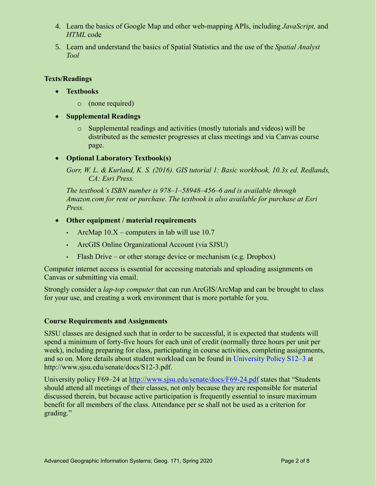- 4. Learn the basics of Google Map and other web-mapping APIs, including *JavaScript,* and *HTML* code
- 5. Learn and understand the basics of Spatial Statistics and the use of the *Spatial Analyst Tool*

## **Texts/Readings**

- **Textbooks** 
	- o (none required)

# **Supplemental Readings**

- o Supplemental readings and activities (mostly tutorials and videos) will be distributed as the semester progresses at class meetings and via Canvas course page.
- **Optional Laboratory Textbook(s)**
	- *Gorr, W. L. & Kurland, K. S. (2016). GIS tutorial 1: Basic workbook, 10.3x ed. Redlands, CA: Esri Press.*

*The textbook's ISBN number is 978‒1‒58948‒456‒6 and is available through Amazon.com for rent or purchase. The textbook is also available for purchase at Esri Press.*

# **Other equipment / material requirements**

- ArcMap  $10.X$  computers in lab will use 10.7
- ArcGIS Online Organizational Account (via SJSU)
- $\cdot$  Flash Drive or other storage device or mechanism (e.g. Dropbox)

Computer internet access is essential for accessing materials and uploading assignments on Canvas or submitting via email.

Strongly consider a *lap-top computer* that can run ArcGIS/ArcMap and can be brought to class for your use, and creating a work environment that is more portable for you.

## **Course Requirements and Assignments**

SJSU classes are designed such that in order to be successful, it is expected that students will spend a minimum of forty-five hours for each unit of credit (normally three hours per unit per week), including preparing for class, participating in course activities, completing assignments, and so on. More details about student workload can be found in University Policy S12–3 at [http://www.sjsu.edu/senate/docs/S12-3.pdf.](http://www.sjsu.edu/senate/docs/S12-3.pdf)

[University policy F69–24](http://www.sjsu.edu/senate/docs/F69-24.pdf) at<http://www.sjsu.edu/senate/docs/F69-24.pdf> states that "Students should attend all meetings of their classes, not only because they are responsible for material discussed therein, but because active participation is frequently essential to insure maximum benefit for all members of the class. Attendance per se shall not be used as a criterion for grading."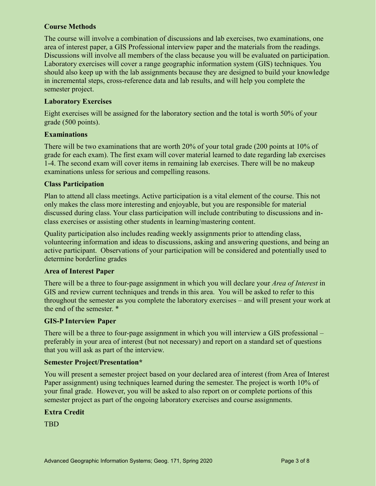## **Course Methods**

The course will involve a combination of discussions and lab exercises, two examinations, one area of interest paper, a GIS Professional interview paper and the materials from the readings. Discussions will involve all members of the class because you will be evaluated on participation. Laboratory exercises will cover a range geographic information system (GIS) techniques. You should also keep up with the lab assignments because they are designed to build your knowledge in incremental steps, cross-reference data and lab results, and will help you complete the semester project.

### **Laboratory Exercises**

Eight exercises will be assigned for the laboratory section and the total is worth 50% of your grade (500 points).

## **Examinations**

There will be two examinations that are worth 20% of your total grade (200 points at 10% of grade for each exam). The first exam will cover material learned to date regarding lab exercises 1-4. The second exam will cover items in remaining lab exercises. There will be no makeup examinations unless for serious and compelling reasons.

## **Class Participation**

Plan to attend all class meetings. Active participation is a vital element of the course. This not only makes the class more interesting and enjoyable, but you are responsible for material discussed during class. Your class participation will include contributing to discussions and inclass exercises or assisting other students in learning/mastering content.

Quality participation also includes reading weekly assignments prior to attending class, volunteering information and ideas to discussions, asking and answering questions, and being an active participant. Observations of your participation will be considered and potentially used to determine borderline grades

#### **Area of Interest Paper**

There will be a three to four-page assignment in which you will declare your *Area of Interest* in GIS and review current techniques and trends in this area. You will be asked to refer to this throughout the semester as you complete the laboratory exercises – and will present your work at the end of the semester. \*

#### **GIS-P Interview Paper**

There will be a three to four-page assignment in which you will interview a GIS professional – preferably in your area of interest (but not necessary) and report on a standard set of questions that you will ask as part of the interview.

#### **Semester Project/Presentation\***

You will present a semester project based on your declared area of interest (from Area of Interest Paper assignment) using techniques learned during the semester. The project is worth 10% of your final grade. However, you will be asked to also report on or complete portions of this semester project as part of the ongoing laboratory exercises and course assignments.

## **Extra Credit**

TBD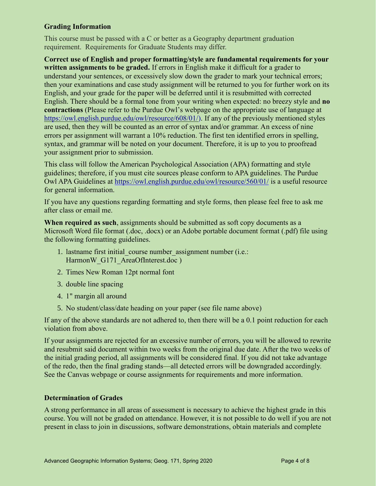## **Grading Information**

This course must be passed with a C or better as a Geography department graduation requirement. Requirements for Graduate Students may differ.

**Correct use of English and proper formatting/style are fundamental requirements for your written assignments to be graded.** If errors in English make it difficult for a grader to understand your sentences, or excessively slow down the grader to mark your technical errors; then your examinations and case study assignment will be returned to you for further work on its English, and your grade for the paper will be deferred until it is resubmitted with corrected English. There should be a formal tone from your writing when expected: no breezy style and **no contractions** (Please refer to the Purdue Owl's webpage on the appropriate use of language a[t](https://owl.english.purdue.edu/owl/resource/608/01/) [https://owl.english.purdue.edu/owl/resource/608/01/\)](https://owl.english.purdue.edu/owl/resource/608/01/). If any of the previously mentioned styles are used, then they will be counted as an error of syntax and/or grammar. An excess of nine errors per assignment will warrant a 10% reduction. The first ten identified errors in spelling, syntax, and grammar will be noted on your document. Therefore, it is up to you to proofread your assignment prior to submission.

This class will follow the American Psychological Association (APA) formatting and style guidelines; therefore, if you must cite sources please conform to APA guidelines. The Purdue Owl APA Guidelines at<https://owl.english.purdue.edu/owl/resource/560/01/> is a useful resource for general information.

If you have any questions regarding formatting and style forms, then please feel free to ask me after class or email me.

**When required as such**, assignments should be submitted as soft copy documents as a Microsoft Word file format (.doc, .docx) or an Adobe portable document format (.pdf) file using the following formatting guidelines.

- 1. lastname first initial course number assignment number (i.e.: HarmonW G171 AreaOfInterest.doc )
- 2. Times New Roman 12pt normal font
- 3. double line spacing
- 4. 1" margin all around
- 5. No student/class/date heading on your paper (see file name above)

If any of the above standards are not adhered to, then there will be a 0.1 point reduction for each violation from above.

If your assignments are rejected for an excessive number of errors, you will be allowed to rewrite and resubmit said document within two weeks from the original due date. After the two weeks of the initial grading period, all assignments will be considered final. If you did not take advantage of the redo, then the final grading stands—all detected errors will be downgraded accordingly. See the Canvas webpage or course assignments for requirements and more information.

#### **Determination of Grades**

A strong performance in all areas of assessment is necessary to achieve the highest grade in this course. You will not be graded on attendance. However, it is not possible to do well if you are not present in class to join in discussions, software demonstrations, obtain materials and complete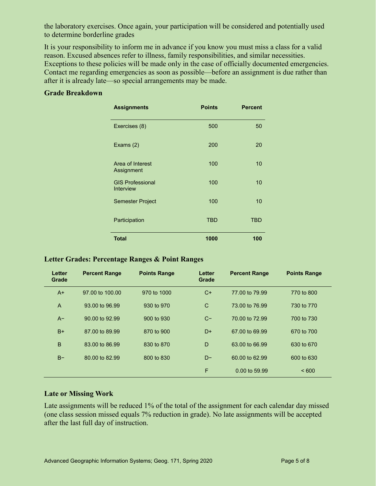the laboratory exercises. Once again, your participation will be considered and potentially used to determine borderline grades

It is your responsibility to inform me in advance if you know you must miss a class for a valid reason. Excused absences refer to illness, family responsibilities, and similar necessities. Exceptions to these policies will be made only in the case of officially documented emergencies. Contact me regarding emergencies as soon as possible—before an assignment is due rather than after it is already late—so special arrangements may be made.

### **Grade Breakdown**

| <b>Assignments</b>                          | <b>Points</b> | <b>Percent</b> |
|---------------------------------------------|---------------|----------------|
| Exercises (8)                               | 500           | 50             |
| Exams (2)                                   | 200           | 20             |
| Area of Interest<br>Assignment              | 100           | 10             |
| <b>GIS Professional</b><br><b>Interview</b> | 100           | 10             |
| Semester Project                            | 100           | 10             |
| Participation                               | <b>TBD</b>    | <b>TBD</b>     |
| <b>Total</b>                                | 1000          | 100            |

#### **Letter Grades: Percentage Ranges & Point Ranges**

| Letter<br>Grade | <b>Percent Range</b> | <b>Points Range</b> | Letter<br>Grade | <b>Percent Range</b> | <b>Points Range</b> |
|-----------------|----------------------|---------------------|-----------------|----------------------|---------------------|
| $A+$            | 97,00 to 100,00      | 970 to 1000         | C+              | 77,00 to 79.99       | 770 to 800          |
| $\overline{A}$  | 93.00 to 96.99       | 930 to 970          | C               | 73,00 to 76,99       | 730 to 770          |
| $A-$            | 90.00 to 92.99       | 900 to 930          | $C-$            | 70.00 to 72.99       | 700 to 730          |
| $B+$            | 87,00 to 89,99       | 870 to 900          | $D+$            | 67.00 to 69.99       | 670 to 700          |
| B               | 83,00 to 86,99       | 830 to 870          | D               | 63.00 to 66.99       | 630 to 670          |
| $B -$           | 80.00 to 82.99       | 800 to 830          | D-              | 60.00 to 62.99       | 600 to 630          |
|                 |                      |                     | F               | 0.00 to 59.99        | ~< 600              |

#### **Late or Missing Work**

Late assignments will be reduced 1% of the total of the assignment for each calendar day missed (one class session missed equals 7% reduction in grade). No late assignments will be accepted after the last full day of instruction.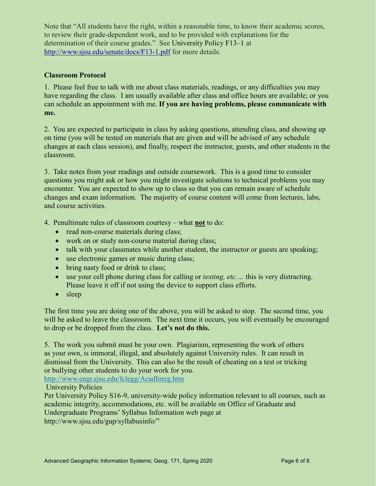Note that "All students have the right, within a reasonable time, to know their academic scores, to review their grade-dependent work, and to be provided with explanations for the determination of their course grades." See University Policy F13–1 at <http://www.sjsu.edu/senate/docs/F13-1.pdf> for more details.

## **Classroom Protocol**

1. Please feel free to talk with me about class materials, readings, or any difficulties you may have regarding the class. I am usually available after class and office hours are available; or you can schedule an appointment with me. **If you are having problems, please communicate with me.**

2. You are expected to participate in class by asking questions, attending class, and showing up on time (you will be tested on materials that are given and will be advised of any schedule changes at each class session), and finally, respect the instructor, guests, and other students in the classroom.

3. Take notes from your readings and outside coursework. This is a good time to consider questions you might ask or how you might investigate solutions to technical problems you may encounter. You are expected to show up to class so that you can remain aware of schedule changes and exam information. The majority of course content will come from lectures, labs, and course activities.

4. Penultimate rules of classroom courtesy – what **not** to do:

- read non-course materials during class;
- work on or study non-course material during class;
- talk with your classmates while another student, the instructor or guests are speaking;
- use electronic games or music during class;
- bring nasty food or drink to class;
- use your cell phone during class for calling or *texting, etc.…* this is very distracting. Please leave it off if not using the device to support class efforts.
- sleep

The first time you are doing one of the above, you will be asked to stop. The second time, you will be asked to leave the classroom. The next time it occurs, you will eventually be encouraged to drop or be dropped from the class. **Let's not do this.**

5. The work you submit must be your own. Plagiarism, representing the work of others as your own, is immoral, illegal, and absolutely against University rules. It can result in dismissal from the University. This can also be the result of cheating on a test or tricking or bullying other students to do your work for you.

<http://www.engr.sjsu.edu/fclegg/AcadInteg.htm>

University Policies

Per University Policy S16-9, university-wide policy information relevant to all courses, such as academic integrity, accommodations, etc. will be available on Office of Graduate and Undergraduate Programs[' Syllabus Information](http://www.sjsu.edu/gup/syllabusinfo/) [web page](http://www.sjsu.edu/gup/syllabusinfo/) at [http://www.sjsu.edu/gup/syllabusinfo/"](http://www.sjsu.edu/gup/syllabusinfo/)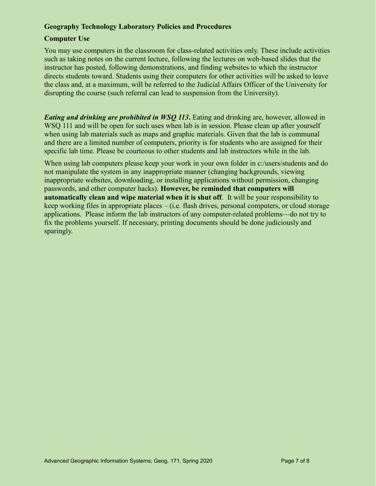## **Geography Technology Laboratory Policies and Procedures**

## **Computer Use**

You may use computers in the classroom for class-related activities only. These include activities such as taking notes on the current lecture, following the lectures on web-based slides that the instructor has posted, following demonstrations, and finding websites to which the instructor directs students toward. Students using their computers for other activities will be asked to leave the class and, at a maximum, will be referred to the Judicial Affairs Officer of the University for disrupting the course (such referral can lead to suspension from the University).

*Eating and drinking are prohibited in WSQ 113***.** Eating and drinking are, however, allowed in WSQ 111 and will be open for such uses when lab is in session. Please clean up after yourself when using lab materials such as maps and graphic materials. Given that the lab is communal and there are a limited number of computers, priority is for students who are assigned for their specific lab time. Please be courteous to other students and lab instructors while in the lab.

When using lab computers please keep your work in your own folder in [c:/users/students](file:///c:/user/students) and do not manipulate the system in any inappropriate manner (changing backgrounds, viewing inappropriate websites, downloading, or installing applications without permission, changing passwords, and other computer hacks). **However, be reminded that computers will automatically clean and wipe material when it is shut off**. It will be your responsibility to keep working files in appropriate places – (i.e. flash drives, personal computers, or cloud storage applications. Please inform the lab instructors of any computer-related problems—do not try to fix the problems yourself. If necessary, printing documents should be done judiciously and sparingly.